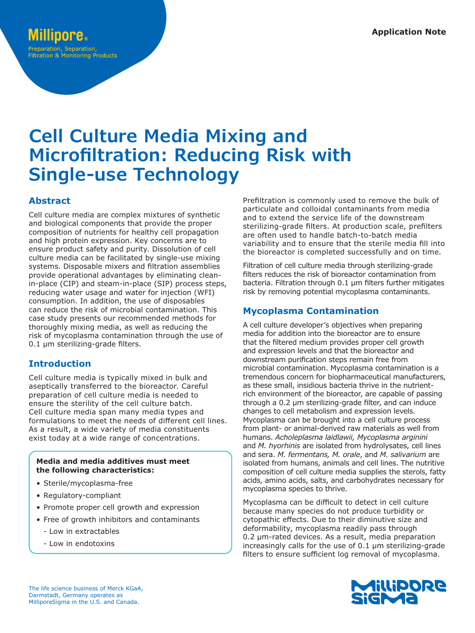# **Cell Culture Media Mixing and Microfiltration: Reducing Risk with Single-use Technology**

# **Abstract**

Cell culture media are complex mixtures of synthetic and biological components that provide the proper composition of nutrients for healthy cell propagation and high protein expression. Key concerns are to ensure product safety and purity. Dissolution of cell culture media can be facilitated by single-use mixing systems. Disposable mixers and filtration assemblies provide operational advantages by eliminating cleanin-place (CIP) and steam-in-place (SIP) process steps, reducing water usage and water for injection (WFI) consumption. In addition, the use of disposables can reduce the risk of microbial contamination. This case study presents our recommended methods for thoroughly mixing media, as well as reducing the risk of mycoplasma contamination through the use of 0.1 μm sterilizing-grade filters.

## **Introduction**

Cell culture media is typically mixed in bulk and aseptically transferred to the bioreactor. Careful preparation of cell culture media is needed to ensure the sterility of the cell culture batch. Cell culture media span many media types and formulations to meet the needs of different cell lines. As a result, a wide variety of media constituents exist today at a wide range of concentrations.

#### **Media and media additives must meet the following characteristics:**

- Sterile/mycoplasma-free
- Regulatory-compliant
- Promote proper cell growth and expression
- Free of growth inhibitors and contaminants
	- Low in extractables
	- Low in endotoxins

Prefiltration is commonly used to remove the bulk of particulate and colloidal contaminants from media and to extend the service life of the downstream sterilizing-grade filters. At production scale, prefilters are often used to handle batch-to-batch media variability and to ensure that the sterile media fill into the bioreactor is completed successfully and on time.

Filtration of cell culture media through sterilizing-grade filters reduces the risk of bioreactor contamination from bacteria. Filtration through 0.1 μm filters further mitigates risk by removing potential mycoplasma contaminants.

# **Mycoplasma Contamination**

A cell culture developer's objectives when preparing media for addition into the bioreactor are to ensure that the filtered medium provides proper cell growth and expression levels and that the bioreactor and downstream purification steps remain free from microbial contamination. Mycoplasma contamination is a tremendous concern for biopharmaceutical manufacturers, as these small, insidious bacteria thrive in the nutrientrich environment of the bioreactor, are capable of passing through a 0.2 μm sterilizing-grade filter, and can induce changes to cell metabolism and expression levels. Mycoplasma can be brought into a cell culture process from plant- or animal-derived raw materials as well from humans. *Acholeplasma laidlawii, Mycoplasma arginini* and *M. hyorhinis* are isolated from hydrolysates, cell lines and sera. *M. fermentans, M. orale*, and *M. salivarium* are isolated from humans, animals and cell lines. The nutritive composition of cell culture media supplies the sterols, fatty acids, amino acids, salts, and carbohydrates necessary for mycoplasma species to thrive.

Mycoplasma can be difficult to detect in cell culture because many species do not produce turbidity or cytopathic effects. Due to their diminutive size and deformability, mycoplasma readily pass through 0.2 μm-rated devices. As a result, media preparation increasingly calls for the use of 0.1 μm sterilizing-grade filters to ensure sufficient log removal of mycoplasma.

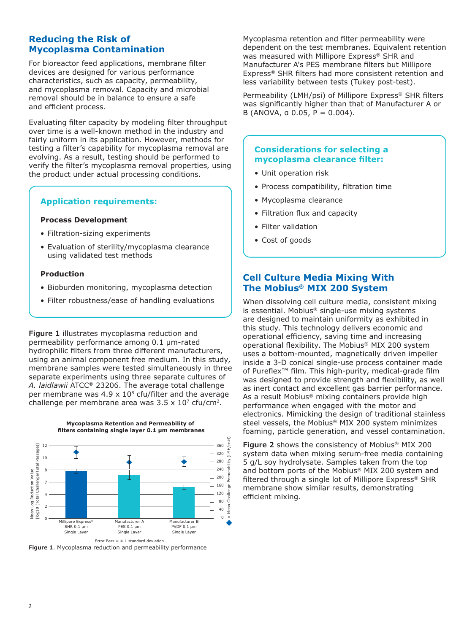## **Reducing the Risk of Mycoplasma Contamination**

For bioreactor feed applications, membrane filter devices are designed for various performance characteristics, such as capacity, permeability, and mycoplasma removal. Capacity and microbial removal should be in balance to ensure a safe and efficient process.

Evaluating filter capacity by modeling filter throughput over time is a well-known method in the industry and fairly uniform in its application. However, methods for testing a filter's capability for mycoplasma removal are evolving. As a result, testing should be performed to verify the filter's mycoplasma removal properties, using the product under actual processing conditions.

#### **Application requirements:**

#### **Process Development**

- Filtration-sizing experiments
- Evaluation of sterility/mycoplasma clearance using validated test methods

#### **Production**

- Bioburden monitoring, mycoplasma detection
- Filter robustness/ease of handling evaluations

**Figure 1** illustrates mycoplasma reduction and permeability performance among 0.1 μm-rated hydrophilic filters from three different manufacturers, using an animal component free medium. In this study, membrane samples were tested simultaneously in three separate experiments using three separate cultures of *A. laidlawii* ATCC® 23206. The average total challenge per membrane was 4.9  $\times$  10<sup>8</sup> cfu/filter and the average challenge per membrane area was  $3.5 \times 10^7$  cfu/cm<sup>2</sup>.





**Figure 1**. Mycoplasma reduction and permeability performance

Mycoplasma retention and filter permeability were dependent on the test membranes. Equivalent retention was measured with Millipore Express® SHR and Manufacturer A's PES membrane filters but Millipore Express® SHR filters had more consistent retention and less variability between tests (Tukey post-test).

Permeability (LMH/psi) of Millipore Express® SHR filters was significantly higher than that of Manufacturer A or B (ANOVA, a 0.05,  $P = 0.004$ ).

#### **Considerations for selecting a mycoplasma clearance filter:**

- Unit operation risk
- Process compatibility, filtration time
- Mycoplasma clearance
- Filtration flux and capacity
- Filter validation
- Cost of goods

### **Cell Culture Media Mixing With The Mobius® MIX 200 System**

When dissolving cell culture media, consistent mixing is essential. Mobius® single-use mixing systems are designed to maintain uniformity as exhibited in this study. This technology delivers economic and operational efficiency, saving time and increasing operational flexibility. The Mobius® MIX 200 system uses a bottom-mounted, magnetically driven impeller inside a 3-D conical single-use process container made of Pureflex™ film. This high-purity, medical-grade film was designed to provide strength and flexibility, as well as inert contact and excellent gas barrier performance. As a result Mobius® mixing containers provide high performance when engaged with the motor and electronics. Mimicking the design of traditional stainless steel vessels, the Mobius® MIX 200 system minimizes foaming, particle generation, and vessel contamination.

**Figure 2** shows the consistency of Mobius® MIX 200 system data when mixing serum-free media containing 5 g/L soy hydrolysate. Samples taken from the top and bottom ports of the Mobius® MIX 200 system and filtered through a single lot of Millipore Express® SHR membrane show similar results, demonstrating efficient mixing.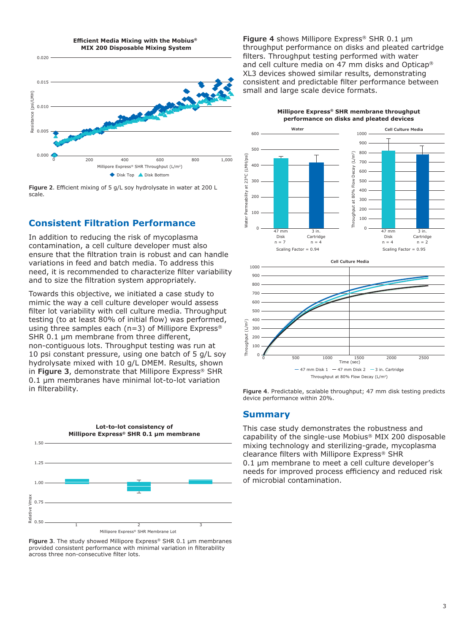

**Figure 2**. Efficient mixing of 5 g/L soy hydrolysate in water at 200 L scale.

# **Consistent Filtration Performance**

In addition to reducing the risk of mycoplasma contamination, a cell culture developer must also ensure that the filtration train is robust and can handle variations in feed and batch media. To address this need, it is recommended to characterize filter variability and to size the filtration system appropriately.

Towards this objective, we initiated a case study to mimic the way a cell culture developer would assess filter lot variability with cell culture media. Throughput testing (to at least 80% of initial flow) was performed, using three samples each (n=3) of Millipore Express® SHR 0.1 μm membrane from three different, non-contiguous lots. Throughput testing was run at 10 psi constant pressure, using one batch of 5 g/L soy hydrolysate mixed with 10 g/L DMEM. Results, shown in **Figure 3**, demonstrate that Millipore Express® SHR 0.1 μm membranes have minimal lot-to-lot variation in filterability.



**Figure 3**. The study showed Millipore Express® SHR 0.1 μm membranes provided consistent performance with minimal variation in filterability across three non-consecutive filter lots.

**Figure 4** shows Millipore Express® SHR 0.1 μm throughput performance on disks and pleated cartridge filters. Throughput testing performed with water and cell culture media on 47 mm disks and Opticap® XL3 devices showed similar results, demonstrating consistent and predictable filter performance between small and large scale device formats.

> **Millipore Express® SHR membrane throughput performance on disks and pleated devices**





**Figure 4**. Predictable, scalable throughput; 47 mm disk testing predicts device performance within 20%.

#### **Summary**

This case study demonstrates the robustness and capability of the single-use Mobius® MIX 200 disposable mixing technology and sterilizing-grade, mycoplasma clearance filters with Millipore Express® SHR 0.1 μm membrane to meet a cell culture developer's needs for improved process efficiency and reduced risk of microbial contamination.